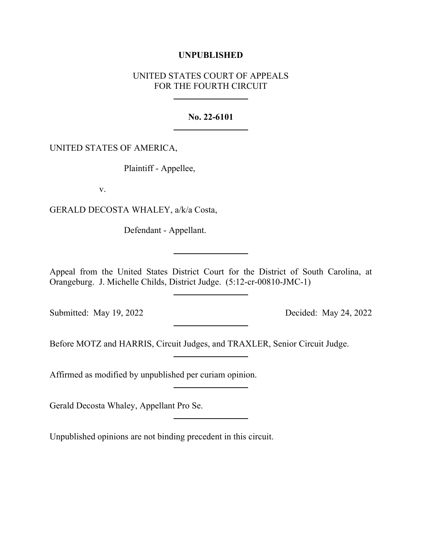## **UNPUBLISHED**

# UNITED STATES COURT OF APPEALS FOR THE FOURTH CIRCUIT

## **No. 22-6101**

## UNITED STATES OF AMERICA,

Plaintiff - Appellee,

v.

GERALD DECOSTA WHALEY, a/k/a Costa,

Defendant - Appellant.

Appeal from the United States District Court for the District of South Carolina, at Orangeburg. J. Michelle Childs, District Judge. (5:12-cr-00810-JMC-1)

Submitted: May 19, 2022 Decided: May 24, 2022

Before MOTZ and HARRIS, Circuit Judges, and TRAXLER, Senior Circuit Judge.

Affirmed as modified by unpublished per curiam opinion.

Gerald Decosta Whaley, Appellant Pro Se.

Unpublished opinions are not binding precedent in this circuit.